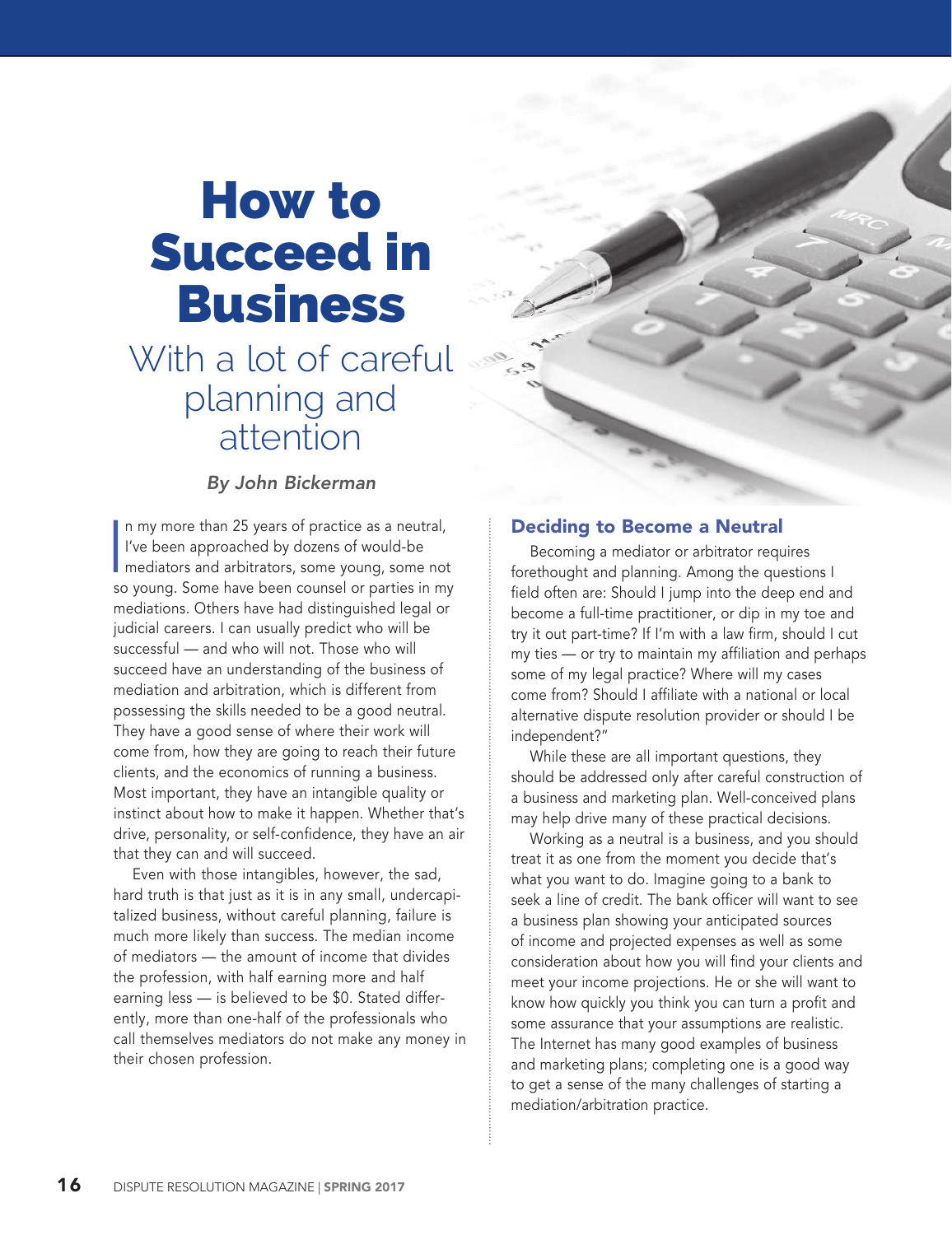# How to Succeed in Business

# With a lot of careful planning and attention

# *By John Bickerman*

In my more than 25 years of practice as a neutral,<br>I've been approached by dozens of would-be<br>mediators and arbitrators, some young, some not n my more than 25 years of practice as a neutral, I've been approached by dozens of would-be so young. Some have been counsel or parties in my mediations. Others have had distinguished legal or judicial careers. I can usually predict who will be successful — and who will not. Those who will succeed have an understanding of the business of mediation and arbitration, which is different from possessing the skills needed to be a good neutral. They have a good sense of where their work will come from, how they are going to reach their future clients, and the economics of running a business. Most important, they have an intangible quality or instinct about how to make it happen. Whether that's drive, personality, or self-confidence, they have an air that they can and will succeed.

Even with those intangibles, however, the sad, hard truth is that just as it is in any small, undercapitalized business, without careful planning, failure is much more likely than success. The median income of mediators — the amount of income that divides the profession, with half earning more and half earning less — is believed to be \$0. Stated differently, more than one-half of the professionals who call themselves mediators do not make any money in their chosen profession.

#### Deciding to Become a Neutral

Becoming a mediator or arbitrator requires forethought and planning. Among the questions I field often are: Should I jump into the deep end and become a full-time practitioner, or dip in my toe and try it out part-time? If I'm with a law firm, should I cut my ties — or try to maintain my affiliation and perhaps some of my legal practice? Where will my cases come from? Should I affiliate with a national or local alternative dispute resolution provider or should I be independent?"

While these are all important questions, they should be addressed only after careful construction of a business and marketing plan. Well-conceived plans may help drive many of these practical decisions.

Working as a neutral is a business, and you should treat it as one from the moment you decide that's what you want to do. Imagine going to a bank to seek a line of credit. The bank officer will want to see a business plan showing your anticipated sources of income and projected expenses as well as some consideration about how you will find your clients and meet your income projections. He or she will want to know how quickly you think you can turn a profit and some assurance that your assumptions are realistic. The Internet has many good examples of business and marketing plans; completing one is a good way to get a sense of the many challenges of starting a mediation/arbitration practice.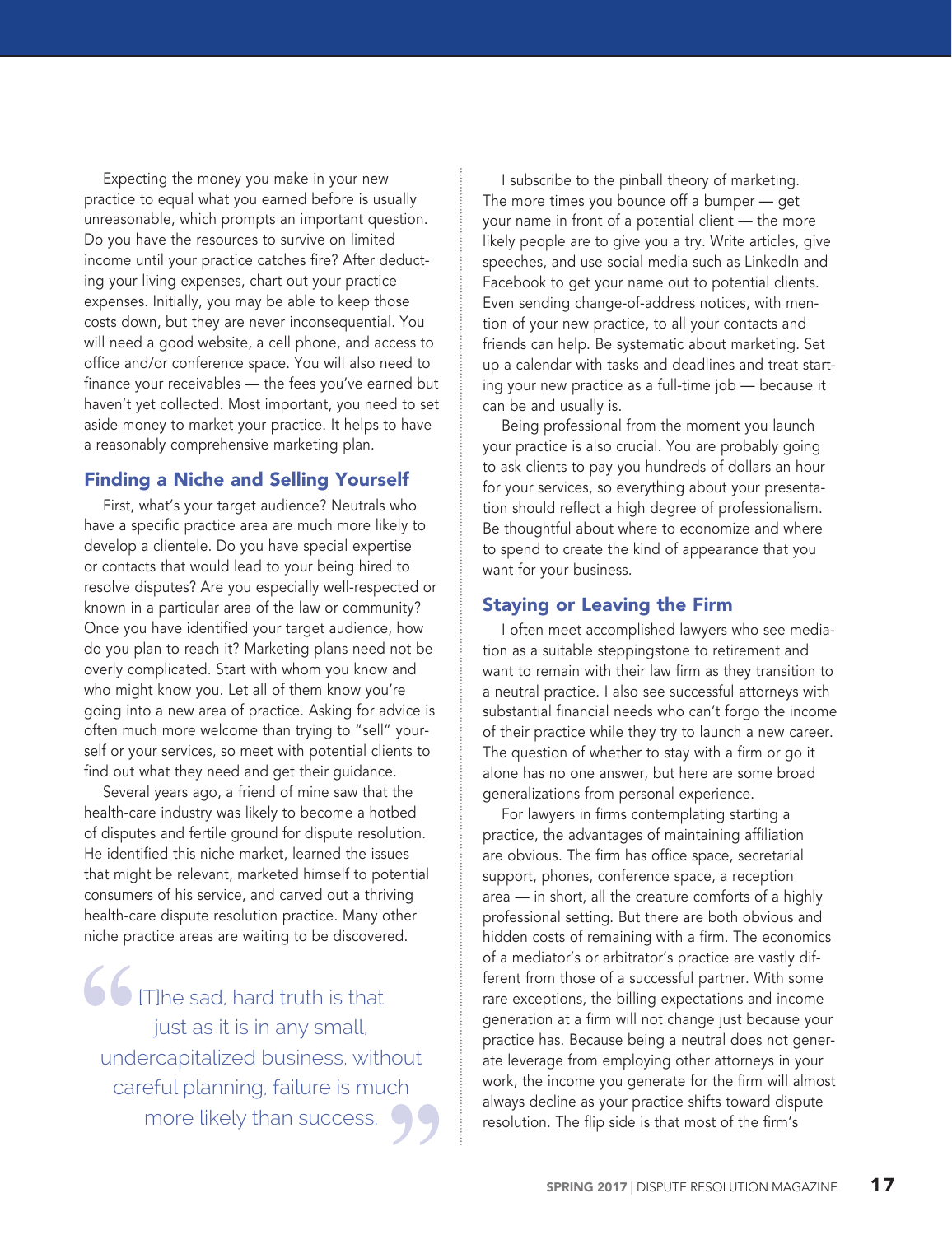Expecting the money you make in your new practice to equal what you earned before is usually unreasonable, which prompts an important question. Do you have the resources to survive on limited income until your practice catches fire? After deducting your living expenses, chart out your practice expenses. Initially, you may be able to keep those costs down, but they are never inconsequential. You will need a good website, a cell phone, and access to office and/or conference space. You will also need to finance your receivables — the fees you've earned but haven't yet collected. Most important, you need to set aside money to market your practice. It helps to have a reasonably comprehensive marketing plan.

# Finding a Niche and Selling Yourself

First, what's your target audience? Neutrals who have a specific practice area are much more likely to develop a clientele. Do you have special expertise or contacts that would lead to your being hired to resolve disputes? Are you especially well-respected or known in a particular area of the law or community? Once you have identified your target audience, how do you plan to reach it? Marketing plans need not be overly complicated. Start with whom you know and who might know you. Let all of them know you're going into a new area of practice. Asking for advice is often much more welcome than trying to "sell" yourself or your services, so meet with potential clients to find out what they need and get their guidance.

Several years ago, a friend of mine saw that the health-care industry was likely to become a hotbed of disputes and fertile ground for dispute resolution. He identified this niche market, learned the issues that might be relevant, marketed himself to potential consumers of his service, and carved out a thriving health-care dispute resolution practice. Many other niche practice areas are waiting to be discovered.

**6** [T]he sad, hard truth is that just as it is in any small, undercapitalized business, without careful planning, failure is much more likely than success.

I subscribe to the pinball theory of marketing. The more times you bounce off a bumper — get your name in front of a potential client — the more likely people are to give you a try. Write articles, give speeches, and use social media such as LinkedIn and Facebook to get your name out to potential clients. Even sending change-of-address notices, with mention of your new practice, to all your contacts and friends can help. Be systematic about marketing. Set up a calendar with tasks and deadlines and treat starting your new practice as a full-time job — because it can be and usually is.

Being professional from the moment you launch your practice is also crucial. You are probably going to ask clients to pay you hundreds of dollars an hour for your services, so everything about your presentation should reflect a high degree of professionalism. Be thoughtful about where to economize and where to spend to create the kind of appearance that you want for your business.

# Staying or Leaving the Firm

I often meet accomplished lawyers who see mediation as a suitable steppingstone to retirement and want to remain with their law firm as they transition to a neutral practice. I also see successful attorneys with substantial financial needs who can't forgo the income of their practice while they try to launch a new career. The question of whether to stay with a firm or go it alone has no one answer, but here are some broad generalizations from personal experience.

For lawyers in firms contemplating starting a practice, the advantages of maintaining affiliation are obvious. The firm has office space, secretarial support, phones, conference space, a reception area — in short, all the creature comforts of a highly professional setting. But there are both obvious and hidden costs of remaining with a firm. The economics of a mediator's or arbitrator's practice are vastly different from those of a successful partner. With some rare exceptions, the billing expectations and income generation at a firm will not change just because your practice has. Because being a neutral does not generate leverage from employing other attorneys in your work, the income you generate for the firm will almost always decline as your practice shifts toward dispute resolution. The flip side is that most of the firm's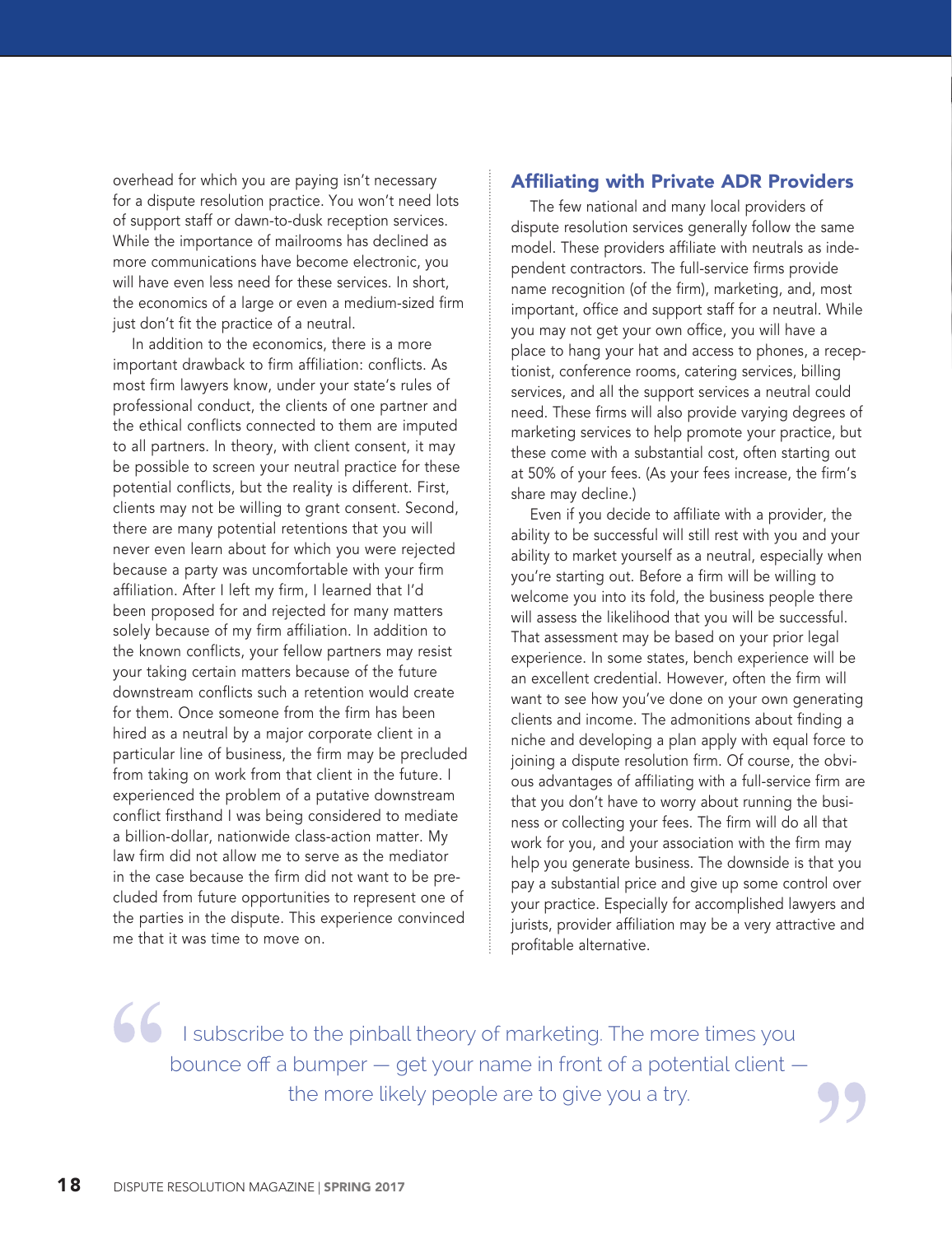overhead for which you are paying isn't necessary for a dispute resolution practice. You won't need lots of support staff or dawn-to-dusk reception services. While the importance of mailrooms has declined as more communications have become electronic, you will have even less need for these services. In short, the economics of a large or even a medium-sized firm just don't fit the practice of a neutral.

In addition to the economics, there is a more important drawback to firm affiliation: conflicts. As most firm lawyers know, under your state's rules of professional conduct, the clients of one partner and the ethical conflicts connected to them are imputed to all partners. In theory, with client consent, it may be possible to screen your neutral practice for these potential conflicts, but the reality is different. First, clients may not be willing to grant consent. Second, there are many potential retentions that you will never even learn about for which you were rejected because a party was uncomfortable with your firm affiliation. After I left my firm, I learned that I'd been proposed for and rejected for many matters solely because of my firm affiliation. In addition to the known conflicts, your fellow partners may resist your taking certain matters because of the future downstream conflicts such a retention would create for them. Once someone from the firm has been hired as a neutral by a major corporate client in a particular line of business, the firm may be precluded from taking on work from that client in the future. I experienced the problem of a putative downstream conflict firsthand I was being considered to mediate a billion-dollar, nationwide class-action matter. My law firm did not allow me to serve as the mediator in the case because the firm did not want to be precluded from future opportunities to represent one of the parties in the dispute. This experience convinced me that it was time to move on.

#### Affiliating with Private ADR Providers

The few national and many local providers of dispute resolution services generally follow the same model. These providers affiliate with neutrals as independent contractors. The full-service firms provide name recognition (of the firm), marketing, and, most important, office and support staff for a neutral. While you may not get your own office, you will have a place to hang your hat and access to phones, a receptionist, conference rooms, catering services, billing services, and all the support services a neutral could need. These firms will also provide varying degrees of marketing services to help promote your practice, but these come with a substantial cost, often starting out at 50% of your fees. (As your fees increase, the firm's share may decline.)

Even if you decide to affiliate with a provider, the ability to be successful will still rest with you and your ability to market yourself as a neutral, especially when you're starting out. Before a firm will be willing to welcome you into its fold, the business people there will assess the likelihood that you will be successful. That assessment may be based on your prior legal experience. In some states, bench experience will be an excellent credential. However, often the firm will want to see how you've done on your own generating clients and income. The admonitions about finding a niche and developing a plan apply with equal force to joining a dispute resolution firm. Of course, the obvious advantages of affiliating with a full-service firm are that you don't have to worry about running the business or collecting your fees. The firm will do all that work for you, and your association with the firm may help you generate business. The downside is that you pay a substantial price and give up some control over your practice. Especially for accomplished lawyers and jurists, provider affiliation may be a very attractive and profitable alternative.

I subscribe to the pinball theory of marketing. The more times you bounce off a bumper — get your name in front of a potential client the more likely people are to give you a try.